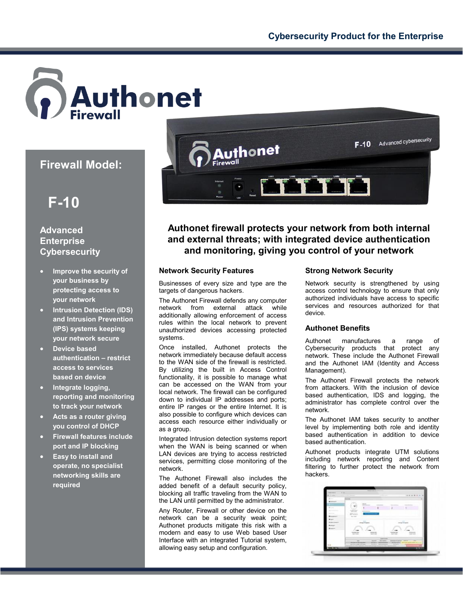

# **Firewall Model:**



## **Advanced Enterprise Cybersecurity**

- **Improve the security of your business by protecting access to your network**
- **Intrusion Detection (IDS) and Intrusion Prevention (IPS) systems keeping your network secure**
- **Device based authentication – restrict access to services based on device**
- **Integrate logging, reporting and monitoring to track your network**
- **Acts as a router giving you control of DHCP**
- **Firewall features include port and IP blocking**
- **Easy to install and operate, no specialist networking skills are required**



## **Authonet firewall protects your network from both internal and external threats; with integrated device authentication and monitoring, giving you control of your network**

### **Network Security Features**

Businesses of every size and type are the targets of dangerous hackers.

The Authonet Firewall defends any computer network from external attack while additionally allowing enforcement of access rules within the local network to prevent unauthorized devices accessing protected systems.

Once installed, Authonet protects the network immediately because default access to the WAN side of the firewall is restricted. By utilizing the built in Access Control functionality, it is possible to manage what can be accessed on the WAN from your local network. The firewall can be configured down to individual IP addresses and ports; entire IP ranges or the entire Internet. It is also possible to configure which devices can access each resource either individually or as a group.

Integrated Intrusion detection systems report when the WAN is being scanned or when LAN devices are trying to access restricted services, permitting close monitoring of the network.

The Authonet Firewall also includes the added benefit of a default security policy, blocking all traffic traveling from the WAN to the LAN until permitted by the administrator.

Any Router, Firewall or other device on the network can be a security weak point; Authonet products mitigate this risk with a modern and easy to use Web based User Interface with an integrated Tutorial system, allowing easy setup and configuration.

### **Strong Network Security**

Network security is strengthened by using access control technology to ensure that only authorized individuals have access to specific services and resources authorized for that device.

### **Authonet Benefits**

Authonet manufactures a range of Cybersecurity products that protect any network. These include the Authonet Firewall and the Authonet IAM (Identity and Access Management).

The Authonet Firewall protects the network from attackers. With the inclusion of device based authentication, IDS and logging, the administrator has complete control over the network.

The Authonet IAM takes security to another level by implementing both role and identity based authentication in addition to device based authentication.

Authonet products integrate UTM solutions including network reporting and Content filtering to further protect the network from hackers.